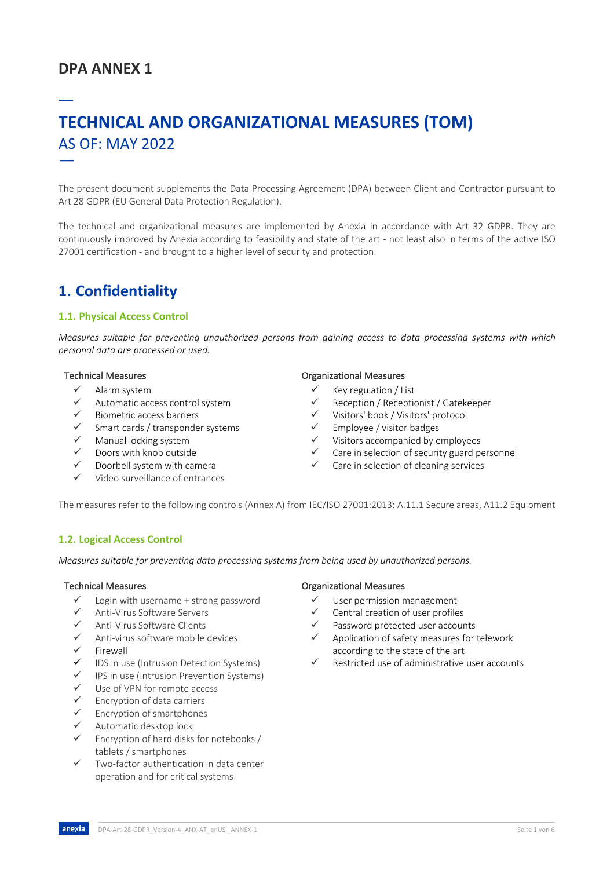# **DPA ANNEX 1**

# — **TECHNICAL AND ORGANIZATIONAL MEASURES (TOM)** AS OF: MAY 2022 —

The present document supplements the Data Processing Agreement (DPA) between Client and Contractor pursuant to Art 28 GDPR (EU General Data Protection Regulation).

The technical and organizational measures are implemented by Anexia in accordance with Art 32 GDPR. They are continuously improved by Anexia according to feasibility and state of the art - not least also in terms of the active ISO 27001 certification - and brought to a higher level of security and protection.

# **1. Confidentiality**

## **1.1. Physical Access Control**

*Measures suitable for preventing unauthorized persons from gaining access to data processing systems with which personal data are processed or used.* 

- $\checkmark$  Alarm system
- ü Automatic access control system
- ü Biometric access barriers
- Smart cards / transponder systems
- Manual locking system
- Doors with knob outside
- Doorbell system with camera
- Video surveillance of entrances

### Technical Measures **Technical Measures Organizational Measures**

- $\checkmark$  Key regulation / List
- ü Reception / Receptionist / Gatekeeper
- ü Visitors' book / Visitors' protocol
- Employee / visitor badges
- Visitors accompanied by employees
- Care in selection of security guard personnel
- $\checkmark$  Care in selection of cleaning services

The measures refer to the following controls (Annex A) from IEC/ISO 27001:2013: A.11.1 Secure areas, A11.2 Equipment

### **1.2. Logical Access Control**

*Measures suitable for preventing data processing systems from being used by unauthorized persons.*

- $\checkmark$  Login with username + strong password
- ü Anti-Virus Software Servers
- Anti-Virus Software Clients
- ü Anti-virus software mobile devices
- **Firewall**
- $\checkmark$  IDS in use (Intrusion Detection Systems)
- IPS in use (Intrusion Prevention Systems)
- $\checkmark$  Use of VPN for remote access
- $\checkmark$  Encryption of data carriers
- Encryption of smartphones
- Automatic desktop lock
- Encryption of hard disks for notebooks / tablets / smartphones
- $\checkmark$  Two-factor authentication in data center operation and for critical systems

### Technical Measures **Technical Measures Constanting Constanting Constanting Constanting Constanting Constanting Constanting Constanting Constanting Constanting Constanting Constanting Constanting Constanting Constanting C**

- $\checkmark$  User permission management
- Central creation of user profiles
- Password protected user accounts
- Application of safety measures for telework according to the state of the art
- Restricted use of administrative user accounts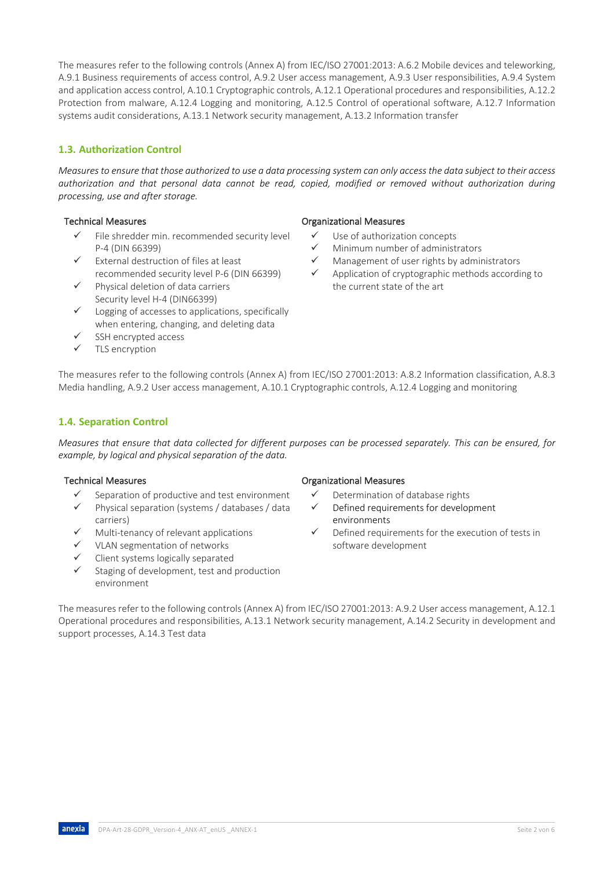The measures refer to the following controls (Annex A) from IEC/ISO 27001:2013: A.6.2 Mobile devices and teleworking, A.9.1 Business requirements of access control, A.9.2 User access management, A.9.3 User responsibilities, A.9.4 System and application access control, A.10.1 Cryptographic controls, A.12.1 Operational procedures and responsibilities, A.12.2 Protection from malware, A.12.4 Logging and monitoring, A.12.5 Control of operational software, A.12.7 Information systems audit considerations, A.13.1 Network security management, A.13.2 Information transfer

# **1.3. Authorization Control**

*Measures to ensure that those authorized to use a data processing system can only access the data subject to their access authorization and that personal data cannot be read, copied, modified or removed without authorization during processing, use and after storage.*

- File shredder min. recommended security level P-4 (DIN 66399)
- $\checkmark$  External destruction of files at least recommended security level P-6 (DIN 66399)
- Physical deletion of data carriers Security level H-4 (DIN66399)
- $\checkmark$  Logging of accesses to applications, specifically when entering, changing, and deleting data
- SSH encrypted access
- $\checkmark$  TLS encryption

## Technical Measures **Technical Measures Technical Measures**

- $\checkmark$  Use of authorization concepts
- $\checkmark$  Minimum number of administrators
- Management of user rights by administrators
- Application of cryptographic methods according to the current state of the art

The measures refer to the following controls (Annex A) from IEC/ISO 27001:2013: A.8.2 Information classification, A.8.3 Media handling, A.9.2 User access management, A.10.1 Cryptographic controls, A.12.4 Logging and monitoring

## **1.4. Separation Control**

*Measures that ensure that data collected for different purposes can be processed separately. This can be ensured, for example, by logical and physical separation of the data.*

- Separation of productive and test environment
- Physical separation (systems / databases / data carriers)
- Multi-tenancy of relevant applications
- VLAN segmentation of networks
- Client systems logically separated
- Staging of development, test and production environment

## Technical Measures **Technical Measures Technical Measures**

- $\checkmark$  Determination of database rights
- Defined requirements for development environments
- Defined requirements for the execution of tests in software development

The measures refer to the following controls (Annex A) from IEC/ISO 27001:2013: A.9.2 User access management, A.12.1 Operational procedures and responsibilities, A.13.1 Network security management, A.14.2 Security in development and support processes, A.14.3 Test data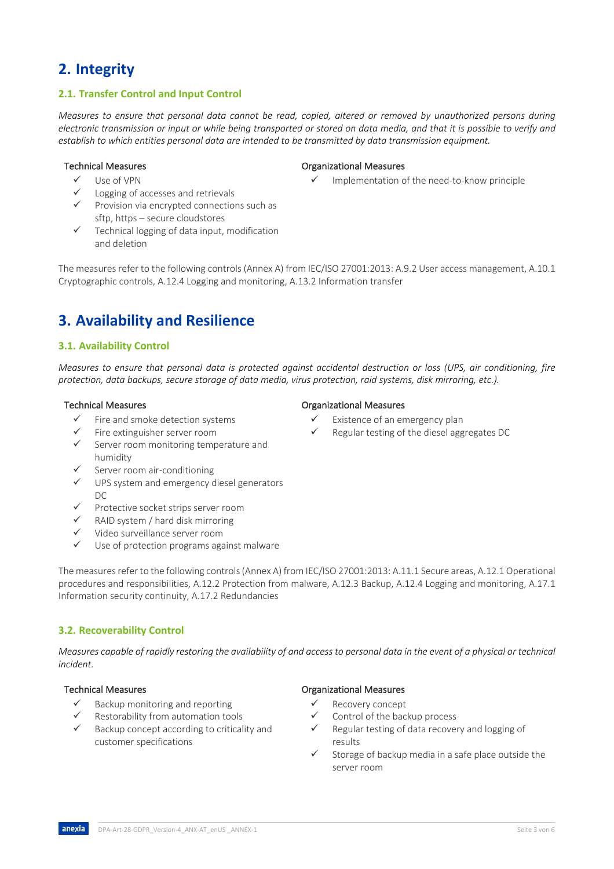# **2. Integrity**

## **2.1. Transfer Control and Input Control**

*Measures to ensure that personal data cannot be read, copied, altered or removed by unauthorized persons during electronic transmission or input or while being transported or stored on data media, and that it is possible to verify and establish to which entities personal data are intended to be transmitted by data transmission equipment.*

- ü Use of VPN
- Logging of accesses and retrievals
- $\checkmark$  Provision via encrypted connections such as sftp, https – secure cloudstores
- $\checkmark$  Technical logging of data input, modification and deletion

The measures refer to the following controls (Annex A) from IEC/ISO 27001:2013: A.9.2 User access management, A.10.1 Cryptographic controls, A.12.4 Logging and monitoring, A.13.2 Information transfer

# **3. Availability and Resilience**

### **3.1. Availability Control**

*Measures to ensure that personal data is protected against accidental destruction or loss (UPS, air conditioning, fire protection, data backups, secure storage of data media, virus protection, raid systems, disk mirroring, etc.).*

- Fire and smoke detection systems
- ü Fire extinguisher server room
- Server room monitoring temperature and humidity
- Server room air-conditioning
- $\checkmark$  UPS system and emergency diesel generators  $DC$
- $\checkmark$  Protective socket strips server room
- $\checkmark$  RAID system / hard disk mirroring
- ü Video surveillance server room
- $\checkmark$  Use of protection programs against malware

The measures refer to the following controls (Annex A) from IEC/ISO 27001:2013: A.11.1 Secure areas, A.12.1 Operational procedures and responsibilities, A.12.2 Protection from malware, A.12.3 Backup, A.12.4 Logging and monitoring, A.17.1 Information security continuity, A.17.2 Redundancies

## **3.2. Recoverability Control**

*Measures capable of rapidly restoring the availability of and access to personal data in the event of a physical or technical incident.*

- $\checkmark$  Backup monitoring and reporting
- Restorability from automation tools
- Backup concept according to criticality and customer specifications

### Technical Measures **Technical Measures Constanting Constanting Constanting Constanting Constanting Constanting Constanting Constanting Constanting Constanting Constanting Constanting Constanting Constanting Constanting C**

Implementation of the need-to-know principle

- Technical Measures **Technical Measures Technical Measures** 
	- Existence of an emergency plan
	- Regular testing of the diesel aggregates DC

### Technical Measures **Technical Measures Organizational Measures**

- $\checkmark$  Recovery concept
- Control of the backup process
- Regular testing of data recovery and logging of results
- Storage of backup media in a safe place outside the server room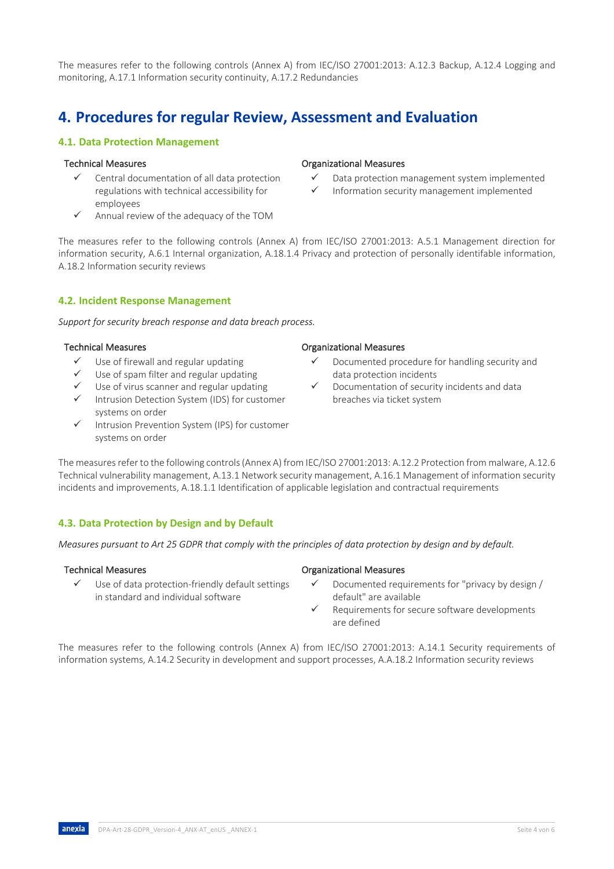The measures refer to the following controls (Annex A) from IEC/ISO 27001:2013: A.12.3 Backup, A.12.4 Logging and monitoring, A.17.1 Information security continuity, A.17.2 Redundancies

# **4. Procedures for regular Review, Assessment and Evaluation**

## **4.1. Data Protection Management**

### Technical Measures **Technical Measures Constanting Measures** Organizational Measures

- Central documentation of all data protection regulations with technical accessibility for employees
- Annual review of the adequacy of the TOM

The measures refer to the following controls (Annex A) from IEC/ISO 27001:2013: A.5.1 Management direction for information security, A.6.1 Internal organization, A.18.1.4 Privacy and protection of personally identifable information, A.18.2 Information security reviews

# **4.2. Incident Response Management**

*Support for security breach response and data breach process.*

### Technical Measures Organizational Measures

- Use of firewall and regular updating
- Use of spam filter and regular updating
- Use of virus scanner and regular updating
- Intrusion Detection System (IDS) for customer systems on order
- $\checkmark$  Intrusion Prevention System (IPS) for customer systems on order

## The measures refer to the following controls (Annex A) from IEC/ISO 27001:2013: A.12.2 Protection from malware, A.12.6 Technical vulnerability management, A.13.1 Network security management, A.16.1 Management of information security incidents and improvements, A.18.1.1 Identification of applicable legislation and contractual requirements

## **4.3. Data Protection by Design and by Default**

*Measures pursuant to Art 25 GDPR that comply with the principles of data protection by design and by default.*

- $\checkmark$  Use of data protection-friendly default settings in standard and individual software
- Technical Measures **Technical Measures Organizational Measures** 
	- Documented requirements for "privacy by design / default" are available
	- Requirements for secure software developments are defined

The measures refer to the following controls (Annex A) from IEC/ISO 27001:2013: A.14.1 Security requirements of information systems, A.14.2 Security in development and support processes, A.A.18.2 Information security reviews

Documented procedure for handling security and data protection incidents

Data protection management system implemented Information security management implemented

Documentation of security incidents and data breaches via ticket system

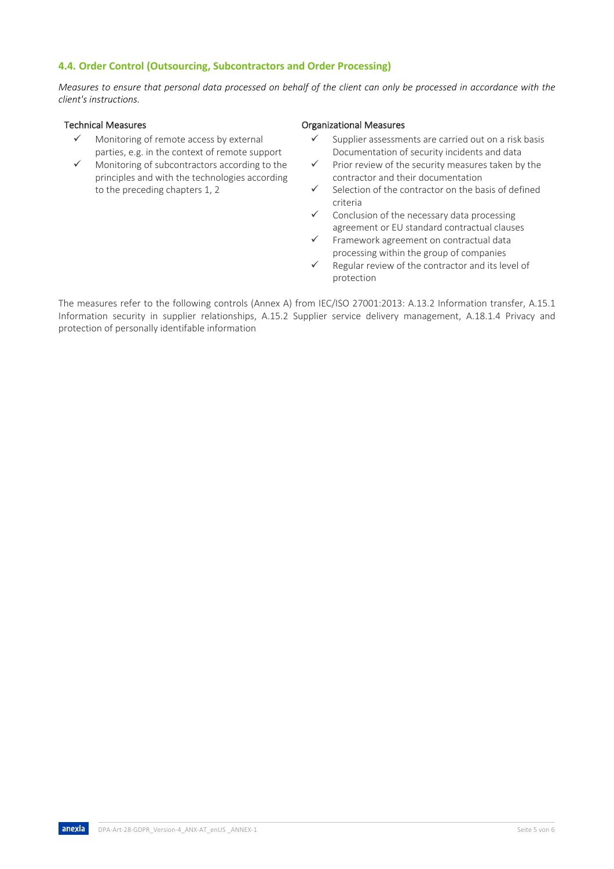## **4.4. Order Control (Outsourcing, Subcontractors and Order Processing)**

*Measures to ensure that personal data processed on behalf of the client can only be processed in accordance with the client's instructions.*

- Monitoring of remote access by external parties, e.g. in the context of remote support
- $\checkmark$  Monitoring of subcontractors according to the principles and with the technologies according to the preceding chapters 1, 2

### Technical Measures **Technical Measures Technical Measures**

- $\checkmark$  Supplier assessments are carried out on a risk basis Documentation of security incidents and data
- $\checkmark$  Prior review of the security measures taken by the contractor and their documentation
- Selection of the contractor on the basis of defined criteria
- Conclusion of the necessary data processing agreement or EU standard contractual clauses
- ü Framework agreement on contractual data processing within the group of companies
- $\checkmark$  Regular review of the contractor and its level of protection

The measures refer to the following controls (Annex A) from IEC/ISO 27001:2013: A.13.2 Information transfer, A.15.1 Information security in supplier relationships, A.15.2 Supplier service delivery management, A.18.1.4 Privacy and protection of personally identifable information